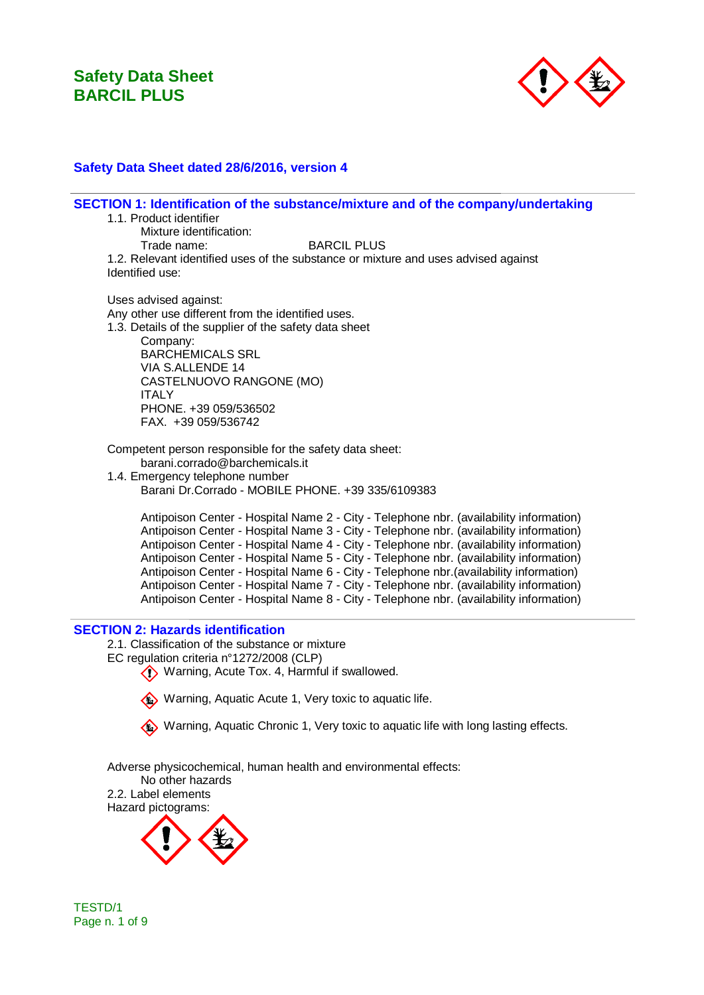

### **Safety Data Sheet dated 28/6/2016, version 4**

**SECTION 1: Identification of the substance/mixture and of the company/undertaking**

1.1. Product identifier

Mixture identification:<br>Trade name:

**BARCIL PLUS** 

1.2. Relevant identified uses of the substance or mixture and uses advised against Identified use:

Uses advised against: Any other use different from the identified uses. 1.3. Details of the supplier of the safety data sheet Company: BARCHEMICALS SRL VIA S.ALLENDE 14 CASTELNUOVO RANGONE (MO) ITALY PHONE. +39 059/536502 FAX. +39 059/536742

Competent person responsible for the safety data sheet: barani.corrado@barchemicals.it

1.4. Emergency telephone number Barani Dr.Corrado - MOBILE PHONE. +39 335/6109383

Antipoison Center - Hospital Name 2 - City - Telephone nbr. (availability information) Antipoison Center - Hospital Name 3 - City - Telephone nbr. (availability information) Antipoison Center - Hospital Name 4 - City - Telephone nbr. (availability information) Antipoison Center - Hospital Name 5 - City - Telephone nbr. (availability information) Antipoison Center - Hospital Name 6 - City - Telephone nbr.(availability information) Antipoison Center - Hospital Name 7 - City - Telephone nbr. (availability information) Antipoison Center - Hospital Name 8 - City - Telephone nbr. (availability information)

#### **SECTION 2: Hazards identification**

2.1. Classification of the substance or mixture

- EC regulation criteria n°1272/2008 (CLP)
	- Warning, Acute Tox. 4, Harmful if swallowed.



Warning, Aquatic Chronic 1, Very toxic to aquatic life with long lasting effects.

Adverse physicochemical, human health and environmental effects:

No other hazards

2.2. Label elements Hazard pictograms:

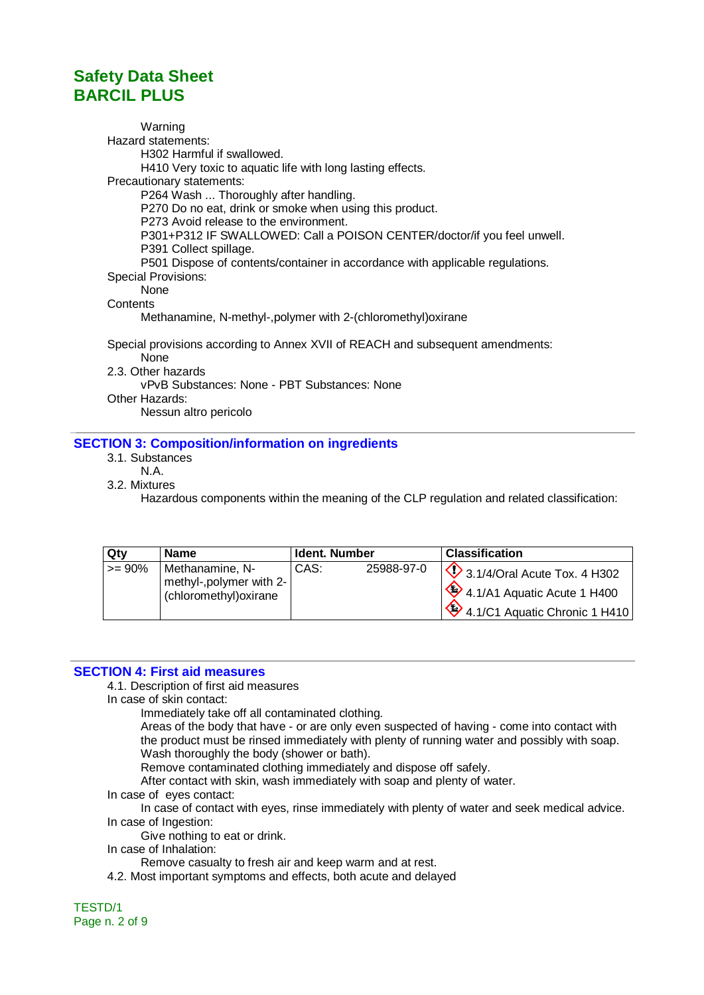Warning Hazard statements: H302 Harmful if swallowed. H410 Very toxic to aquatic life with long lasting effects. Precautionary statements: P264 Wash ... Thoroughly after handling. P270 Do no eat, drink or smoke when using this product. P273 Avoid release to the environment. P301+P312 IF SWALLOWED: Call a POISON CENTER/doctor/if you feel unwell. P391 Collect spillage. P501 Dispose of contents/container in accordance with applicable regulations. Special Provisions: None **Contents** Methanamine, N-methyl-,polymer with 2-(chloromethyl)oxirane Special provisions according to Annex XVII of REACH and subsequent amendments: None 2.3. Other hazards

vPvB Substances: None - PBT Substances: None Other Hazards:

Nessun altro pericolo

### **SECTION 3: Composition/information on ingredients**

- 3.1. Substances
- N.A.

3.2. Mixtures

Hazardous components within the meaning of the CLP regulation and related classification:

| <b>Qty</b> | <b>Name</b>                                                           | Ident. Number |            | <b>Classification</b>                                                                                                |
|------------|-----------------------------------------------------------------------|---------------|------------|----------------------------------------------------------------------------------------------------------------------|
| $>= 90%$   | Methanamine, N-<br>methyl-, polymer with 2-<br>(chloromethyl) oxirane | CAS:          | 25988-97-0 | $\bigvee$ 3.1/4/Oral Acute Tox. 4 H302<br>$\frac{1}{2}$ 4.1/A1 Aquatic Acute 1 H400<br>4.1/C1 Aquatic Chronic 1 H410 |

#### **SECTION 4: First aid measures**

4.1. Description of first aid measures

In case of skin contact:

Immediately take off all contaminated clothing.

Areas of the body that have - or are only even suspected of having - come into contact with the product must be rinsed immediately with plenty of running water and possibly with soap. Wash thoroughly the body (shower or bath).

Remove contaminated clothing immediately and dispose off safely.

After contact with skin, wash immediately with soap and plenty of water.

In case of eyes contact:

In case of contact with eyes, rinse immediately with plenty of water and seek medical advice. In case of Ingestion:

Give nothing to eat or drink.

In case of Inhalation:

Remove casualty to fresh air and keep warm and at rest.

4.2. Most important symptoms and effects, both acute and delayed

TESTD/1 Page n. 2 of 9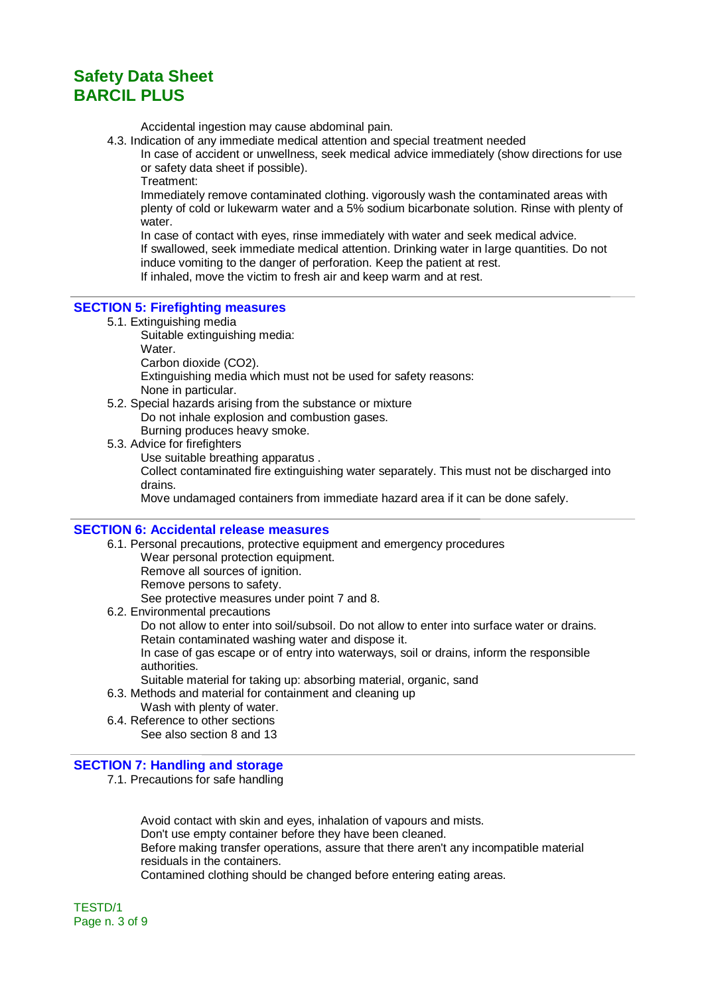Accidental ingestion may cause abdominal pain.

4.3. Indication of any immediate medical attention and special treatment needed

In case of accident or unwellness, seek medical advice immediately (show directions for use or safety data sheet if possible).

Treatment:

Immediately remove contaminated clothing. vigorously wash the contaminated areas with plenty of cold or lukewarm water and a 5% sodium bicarbonate solution. Rinse with plenty of water.

In case of contact with eyes, rinse immediately with water and seek medical advice. If swallowed, seek immediate medical attention. Drinking water in large quantities. Do not induce vomiting to the danger of perforation. Keep the patient at rest. If inhaled, move the victim to fresh air and keep warm and at rest.

#### **SECTION 5: Firefighting measures**

- 5.1. Extinguishing media
	- Suitable extinguishing media:

Water.

Carbon dioxide (CO2).

Extinguishing media which must not be used for safety reasons: None in particular.

- 5.2. Special hazards arising from the substance or mixture Do not inhale explosion and combustion gases. Burning produces heavy smoke.
- 5.3. Advice for firefighters Use suitable breathing apparatus . Collect contaminated fire extinguishing water separately. This must not be discharged into drains. Move undamaged containers from immediate hazard area if it can be done safely.

**SECTION 6: Accidental release measures**

- 6.1. Personal precautions, protective equipment and emergency procedures Wear personal protection equipment. Remove all sources of ignition. Remove persons to safety. See protective measures under point 7 and 8. 6.2. Environmental precautions
- Do not allow to enter into soil/subsoil. Do not allow to enter into surface water or drains. Retain contaminated washing water and dispose it. In case of gas escape or of entry into waterways, soil or drains, inform the responsible authorities. Suitable material for taking up: absorbing material, organic, sand 6.3. Methods and material for containment and cleaning up
	- Wash with plenty of water.
- 6.4. Reference to other sections See also section 8 and 13

#### **SECTION 7: Handling and storage**

7.1. Precautions for safe handling

Avoid contact with skin and eyes, inhalation of vapours and mists. Don't use empty container before they have been cleaned. Before making transfer operations, assure that there aren't any incompatible material residuals in the containers. Contamined clothing should be changed before entering eating areas.

TESTD/1 Page n. 3 of 9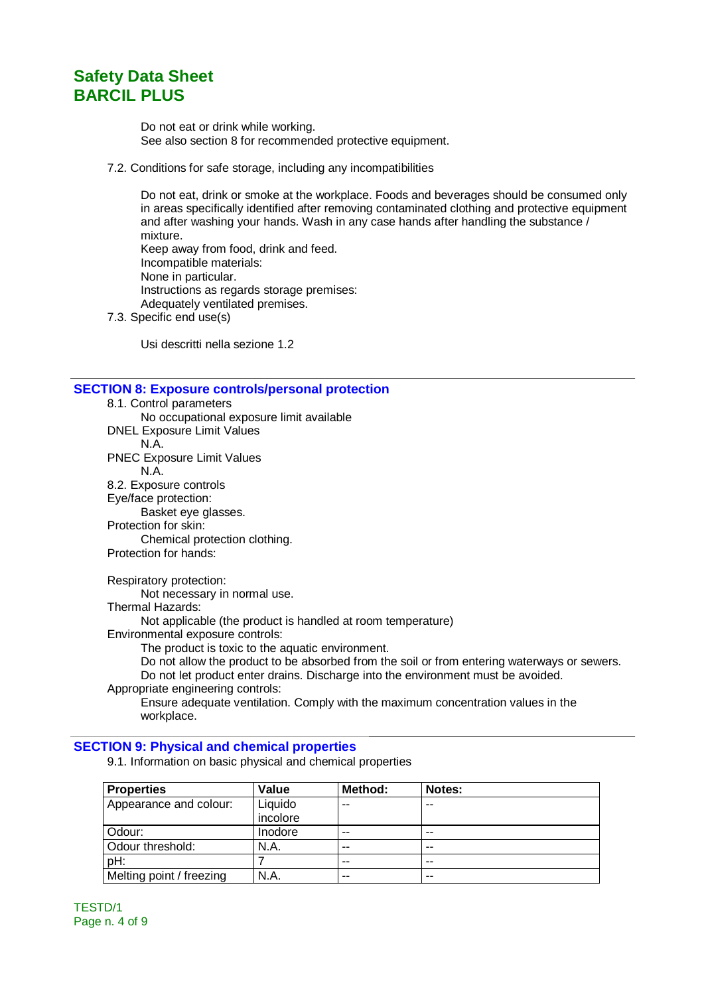Do not eat or drink while working. See also section 8 for recommended protective equipment.

7.2. Conditions for safe storage, including any incompatibilities

Do not eat, drink or smoke at the workplace. Foods and beverages should be consumed only in areas specifically identified after removing contaminated clothing and protective equipment and after washing your hands. Wash in any case hands after handling the substance / mixture. Keep away from food, drink and feed. Incompatible materials: None in particular. Instructions as regards storage premises: Adequately ventilated premises.

7.3. Specific end use(s)

Usi descritti nella sezione 1.2

#### **SECTION 8: Exposure controls/personal protection**

8.1. Control parameters No occupational exposure limit available DNEL Exposure Limit Values N.A. PNEC Exposure Limit Values N.A. 8.2. Exposure controls Eye/face protection: Basket eye glasses. Protection for skin: Chemical protection clothing. Protection for hands: Respiratory protection: Not necessary in normal use.

Thermal Hazards:

Not applicable (the product is handled at room temperature)

Environmental exposure controls:

The product is toxic to the aquatic environment.

Do not allow the product to be absorbed from the soil or from entering waterways or sewers. Do not let product enter drains. Discharge into the environment must be avoided. Appropriate engineering controls:

Ensure adequate ventilation. Comply with the maximum concentration values in the workplace.

#### **SECTION 9: Physical and chemical properties**

9.1. Information on basic physical and chemical properties

| <b>Properties</b>        | Value               | Method: | Notes: |
|--------------------------|---------------------|---------|--------|
| Appearance and colour:   | Liquido<br>incolore | $- -$   | --     |
| Odour:                   | Inodore             | $- -$   | --     |
| Odour threshold:         | N.A.                | $- -$   | --     |
| pH:                      |                     | $- -$   | --     |
| Melting point / freezing | N.A.                | $- -$   | $- -$  |

TESTD/1 Page n. 4 of 9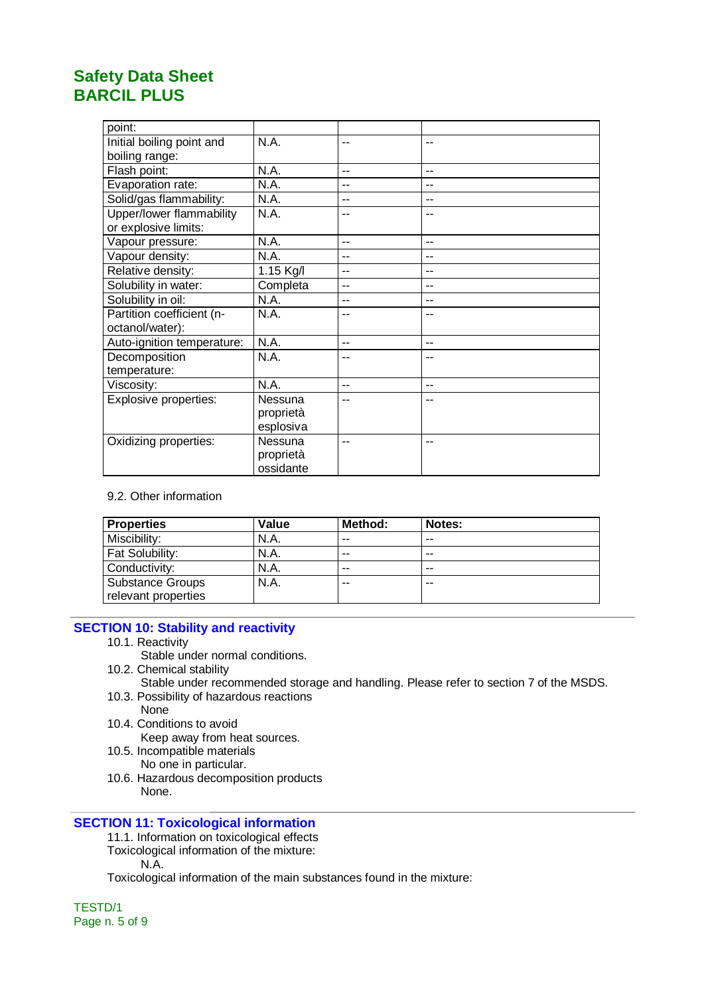| point:                     |           |       |     |
|----------------------------|-----------|-------|-----|
| Initial boiling point and  | N.A.      | --    | $-$ |
| boiling range:             |           |       |     |
| Flash point:               | N.A.      | $- -$ | --  |
| Evaporation rate:          | N.A.      | --    | --  |
| Solid/gas flammability:    | N.A.      | --    | --  |
| Upper/lower flammability   | N.A.      | --    | --  |
| or explosive limits:       |           |       |     |
| Vapour pressure:           | N.A.      | --    | --  |
| Vapour density:            | N.A.      | $-$   | --  |
| Relative density:          | 1.15 Kg/l | $-$   | --  |
| Solubility in water:       | Completa  | --    | --  |
| Solubility in oil:         | N.A.      | --    | --  |
| Partition coefficient (n-  | N.A.      | --    | --  |
| octanol/water):            |           |       |     |
| Auto-ignition temperature: | N.A.      | $- -$ | --  |
| Decomposition              | N.A.      | --    | --  |
| temperature:               |           |       |     |
| Viscosity:                 | N.A.      | $-$   | --  |
| Explosive properties:      | Nessuna   | --    |     |
|                            | proprietà |       |     |
|                            | esplosiva |       |     |
| Oxidizing properties:      | Nessuna   | --    | --  |
|                            | proprietà |       |     |
|                            | ossidante |       |     |

### 9.2. Other information

| <b>Properties</b>                              | Value | Method: | Notes: |  |
|------------------------------------------------|-------|---------|--------|--|
| Miscibility:                                   | N.A.  | $- -$   | $- -$  |  |
| Fat Solubility:                                | N.A.  | --      | $- -$  |  |
| Conductivity:                                  | N.A.  | --      | $- -$  |  |
| <b>Substance Groups</b><br>relevant properties | N.A.  | --      | --     |  |

### **SECTION 10: Stability and reactivity**

- 10.1. Reactivity
	- Stable under normal conditions.
- 10.2. Chemical stability
	- Stable under recommended storage and handling. Please refer to section 7 of the MSDS.
- 10.3. Possibility of hazardous reactions None
- 10.4. Conditions to avoid
	- Keep away from heat sources.
- 10.5. Incompatible materials
	- No one in particular.
- 10.6. Hazardous decomposition products None.

### **SECTION 11: Toxicological information**

- 11.1. Information on toxicological effects
- Toxicological information of the mixture: N.A.

Toxicological information of the main substances found in the mixture:

TESTD/1 Page n. 5 of 9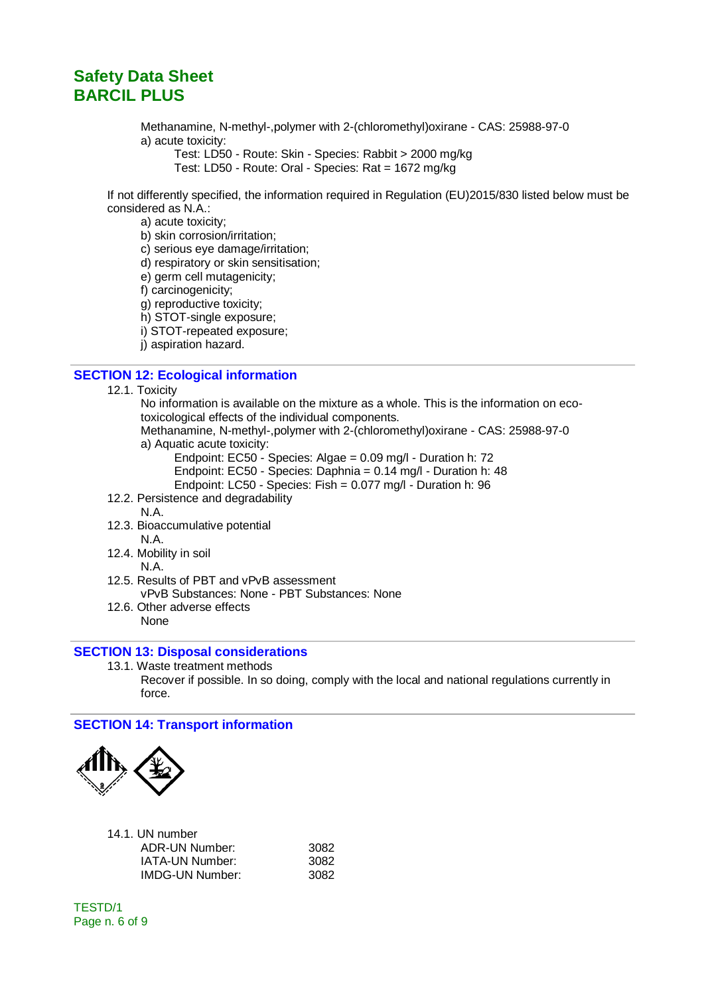Methanamine, N-methyl-,polymer with 2-(chloromethyl)oxirane - CAS: 25988-97-0 a) acute toxicity:

Test: LD50 - Route: Skin - Species: Rabbit > 2000 mg/kg Test: LD50 - Route: Oral - Species: Rat = 1672 mg/kg

If not differently specified, the information required in Regulation (EU)2015/830 listed below must be considered as N.A.:

a) acute toxicity;

b) skin corrosion/irritation;

c) serious eye damage/irritation;

d) respiratory or skin sensitisation;

e) germ cell mutagenicity;

f) carcinogenicity;

g) reproductive toxicity;

h) STOT-single exposure;

i) STOT-repeated exposure;

j) aspiration hazard.

#### **SECTION 12: Ecological information**

12.1. Toxicity

No information is available on the mixture as a whole. This is the information on ecotoxicological effects of the individual components.

Methanamine, N-methyl-,polymer with 2-(chloromethyl)oxirane - CAS: 25988-97-0

a) Aquatic acute toxicity:

Endpoint: EC50 - Species: Algae = 0.09 mg/l - Duration h: 72

Endpoint: EC50 - Species: Daphnia = 0.14 mg/l - Duration h: 48

Endpoint: LC50 - Species: Fish = 0.077 mg/l - Duration h: 96

- 12.2. Persistence and degradability N.A.
- 
- 12.3. Bioaccumulative potential N.A.
- 12.4. Mobility in soil N.A.
- 12.5. Results of PBT and vPvB assessment vPvB Substances: None - PBT Substances: None
- 12.6. Other adverse effects None

#### **SECTION 13: Disposal considerations**

13.1. Waste treatment methods Recover if possible. In so doing, comply with the local and national regulations currently in force.

#### **SECTION 14: Transport information**



| 14.1. UN number        |      |
|------------------------|------|
| ADR-UN Number:         | 3082 |
| IATA-UN Number:        | 3082 |
| <b>IMDG-UN Number:</b> | 3082 |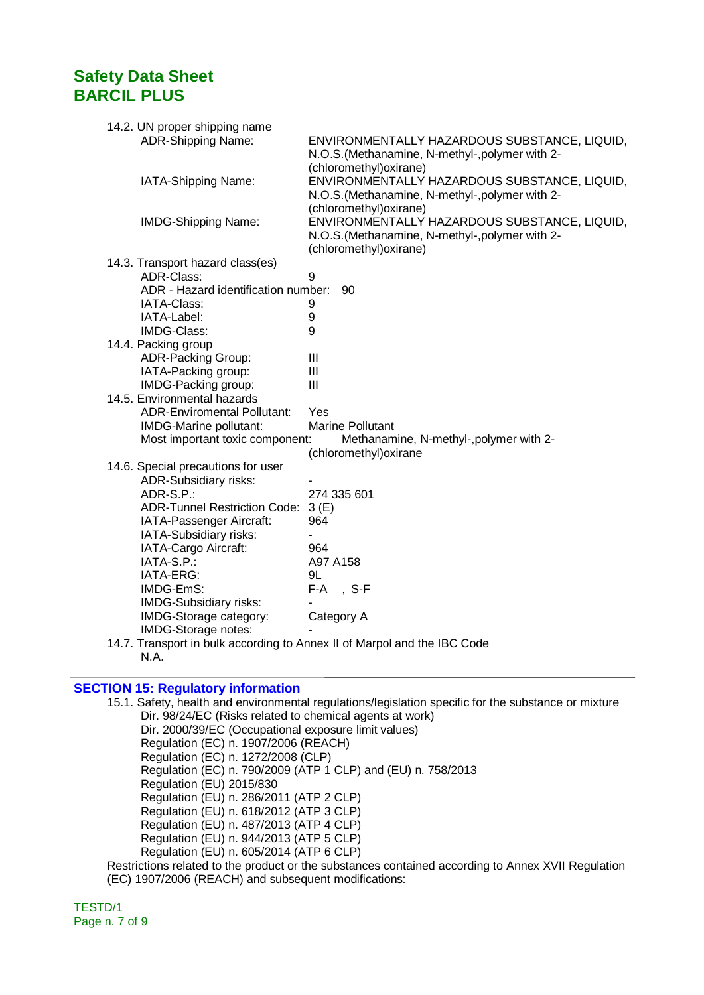| 14.2. UN proper shipping name                                            |                                                 |
|--------------------------------------------------------------------------|-------------------------------------------------|
| ADR-Shipping Name:                                                       | ENVIRONMENTALLY HAZARDOUS SUBSTANCE, LIQUID,    |
|                                                                          | N.O.S. (Methanamine, N-methyl-, polymer with 2- |
|                                                                          | (chloromethyl) oxirane)                         |
| IATA-Shipping Name:                                                      | ENVIRONMENTALLY HAZARDOUS SUBSTANCE, LIQUID,    |
|                                                                          | N.O.S. (Methanamine, N-methyl-, polymer with 2- |
|                                                                          | (chloromethyl) oxirane)                         |
| <b>IMDG-Shipping Name:</b>                                               | ENVIRONMENTALLY HAZARDOUS SUBSTANCE, LIQUID,    |
|                                                                          | N.O.S. (Methanamine, N-methyl-, polymer with 2- |
|                                                                          | (chloromethyl) oxirane)                         |
| 14.3. Transport hazard class(es)                                         |                                                 |
| ADR-Class:                                                               | 9                                               |
| ADR - Hazard identification number:                                      | 90                                              |
| IATA-Class:                                                              |                                                 |
|                                                                          | 9                                               |
| IATA-Label:<br>IMDG-Class:                                               | 9<br>9                                          |
|                                                                          |                                                 |
| 14.4. Packing group                                                      |                                                 |
| <b>ADR-Packing Group:</b>                                                | Ш                                               |
| IATA-Packing group:                                                      | Ш                                               |
| IMDG-Packing group:                                                      | $\mathbf{III}$                                  |
| 14.5. Environmental hazards                                              |                                                 |
| <b>ADR-Enviromental Pollutant:</b>                                       | Yes                                             |
| IMDG-Marine pollutant:                                                   | <b>Marine Pollutant</b>                         |
| Most important toxic component:                                          | Methanamine, N-methyl-, polymer with 2-         |
|                                                                          | (chloromethyl) oxirane                          |
| 14.6. Special precautions for user                                       |                                                 |
| <b>ADR-Subsidiary risks:</b>                                             |                                                 |
| ADR-S.P.:                                                                | 274 335 601                                     |
| <b>ADR-Tunnel Restriction Code:</b>                                      | 3(E)                                            |
| IATA-Passenger Aircraft:                                                 | 964                                             |
| IATA-Subsidiary risks:                                                   |                                                 |
| IATA-Cargo Aircraft:                                                     | 964                                             |
| IATA-S.P.:                                                               | A97 A158                                        |
| IATA-ERG:                                                                | 9L                                              |
| IMDG-EmS:                                                                | F-A, S-F                                        |
| IMDG-Subsidiary risks:                                                   |                                                 |
| IMDG-Storage category:                                                   | Category A                                      |
| IMDG-Storage notes:                                                      |                                                 |
| 14.7. Transport in bulk according to Annex II of Marpol and the IBC Code |                                                 |
| N.A.                                                                     |                                                 |

#### **SECTION 15: Regulatory information**

15.1. Safety, health and environmental regulations/legislation specific for the substance or mixture Dir. 98/24/EC (Risks related to chemical agents at work) Dir. 2000/39/EC (Occupational exposure limit values) Regulation (EC) n. 1907/2006 (REACH) Regulation (EC) n. 1272/2008 (CLP) Regulation (EC) n. 790/2009 (ATP 1 CLP) and (EU) n. 758/2013 Regulation (EU) 2015/830 Regulation (EU) n. 286/2011 (ATP 2 CLP) Regulation (EU) n. 618/2012 (ATP 3 CLP) Regulation (EU) n. 487/2013 (ATP 4 CLP) Regulation (EU) n. 944/2013 (ATP 5 CLP) Regulation (EU) n. 605/2014 (ATP 6 CLP) Restrictions related to the product or the substances contained according to Annex XVII Regulation

(EC) 1907/2006 (REACH) and subsequent modifications:

TESTD/1 Page n. 7 of 9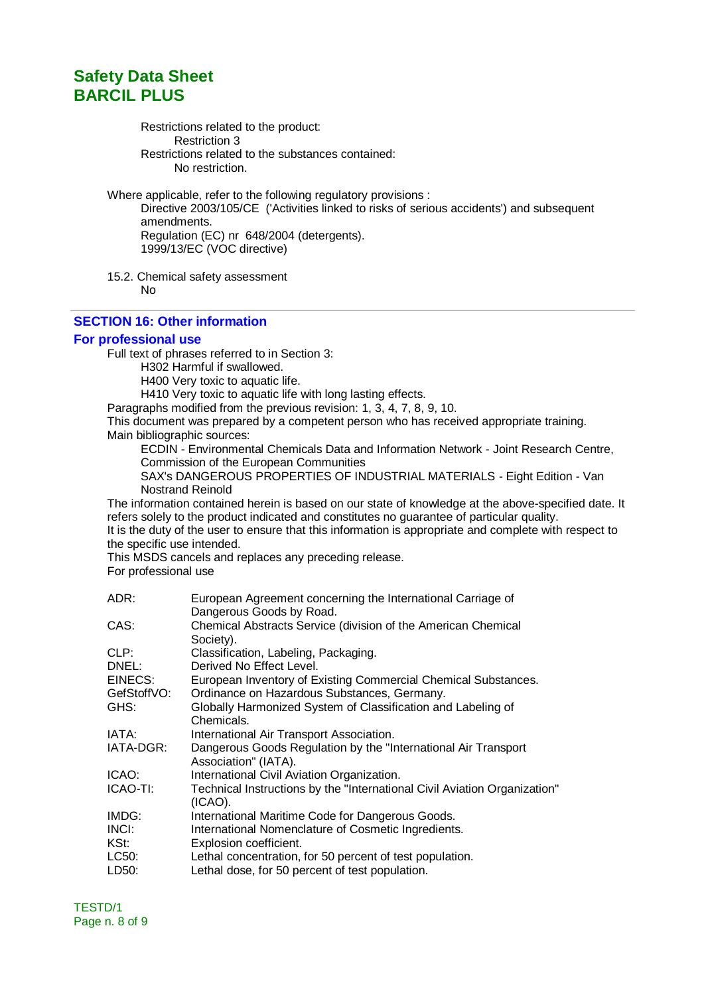Restrictions related to the product: Restriction 3 Restrictions related to the substances contained: No restriction.

Where applicable, refer to the following regulatory provisions :

Directive 2003/105/CE ('Activities linked to risks of serious accidents') and subsequent amendments. Regulation (EC) nr 648/2004 (detergents). 1999/13/EC (VOC directive)

15.2. Chemical safety assessment

No

#### **SECTION 16: Other information**

#### **For professional use**

Full text of phrases referred to in Section 3:

H302 Harmful if swallowed.

H400 Very toxic to aquatic life.

H410 Very toxic to aquatic life with long lasting effects.

Paragraphs modified from the previous revision: 1, 3, 4, 7, 8, 9, 10.

This document was prepared by a competent person who has received appropriate training. Main bibliographic sources:

ECDIN - Environmental Chemicals Data and Information Network - Joint Research Centre, Commission of the European Communities

SAX's DANGEROUS PROPERTIES OF INDUSTRIAL MATERIALS - Eight Edition - Van Nostrand Reinold

The information contained herein is based on our state of knowledge at the above-specified date. It refers solely to the product indicated and constitutes no guarantee of particular quality. It is the duty of the user to ensure that this information is appropriate and complete with respect to

the specific use intended.

This MSDS cancels and replaces any preceding release.

For professional use

| ADR:        | European Agreement concerning the International Carriage of                            |
|-------------|----------------------------------------------------------------------------------------|
|             | Dangerous Goods by Road.                                                               |
| CAS:        | Chemical Abstracts Service (division of the American Chemical<br>Society).             |
| CLP:        | Classification, Labeling, Packaging.                                                   |
| DNEL:       | Derived No Effect Level.                                                               |
| EINECS:     | European Inventory of Existing Commercial Chemical Substances.                         |
| GefStoffVO: | Ordinance on Hazardous Substances, Germany.                                            |
| GHS:        | Globally Harmonized System of Classification and Labeling of                           |
|             | Chemicals.                                                                             |
| IATA:       | International Air Transport Association.                                               |
| IATA-DGR:   | Dangerous Goods Regulation by the "International Air Transport<br>Association" (IATA). |
| ICAO:       | International Civil Aviation Organization.                                             |
| ICAO-TI:    | Technical Instructions by the "International Civil Aviation Organization"<br>(ICAO).   |
| IMDG:       | International Maritime Code for Dangerous Goods.                                       |
| INCI:       | International Nomenclature of Cosmetic Ingredients.                                    |
| KSt:        | Explosion coefficient.                                                                 |
| LC50:       | Lethal concentration, for 50 percent of test population.                               |
| LD50:       | Lethal dose, for 50 percent of test population.                                        |
|             |                                                                                        |